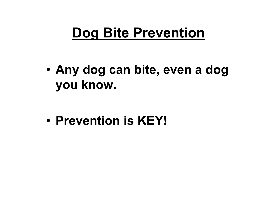### **Dog Bite Prevention**

• **Any dog can bite, even a dog you know.**

•**Prevention is KEY!**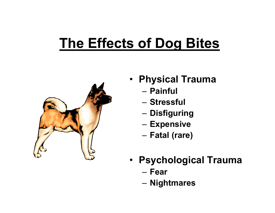#### **The Effects of Dog Bites**



- • **Physical Trauma**
	- **Painful**
	- **Stressful**
	- **Disfiguring**
	- –**Expensive**
	- **Fatal (rare)**
- **Psychological Trauma**
	- **Fear**
	- **Nightmares**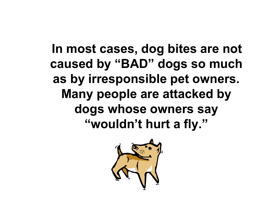**In most cases, dog bites are not caused by "BAD" dogs so much as by irresponsible pet owners. Many people are attacked by dogs whose owners say "wouldn't hurt a fly."**

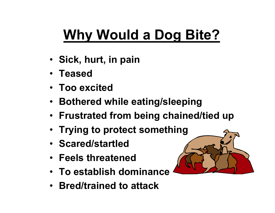# **Why Would a Dog Bite?**

- **Sick, hurt, in pain**
- **Teased**
- **Too excited**
- **Bothered while eating/sleeping**
- **Frustrated from being chained/tied up**
- **Trying to protect something**
- **Scared/startled**
- **Feels threatened**
- **To establish dominance**
- **Bred/trained to attack**

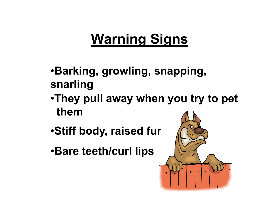## **Warning Signs**

- •**Barking, growling, snapping, snarling**
- •**They pull away when you try to pet them**
- •**Stiff body, raised fur**
- •**Bare teeth/curl lips**

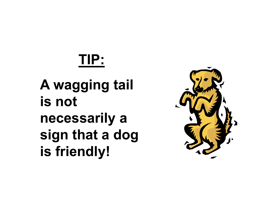# **TIP:**

## **A wagging tail is not necessarily a sign that a dog is friendly!**

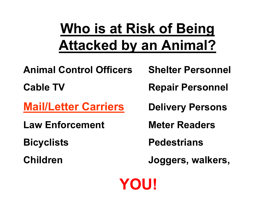## **Who is at Risk of Being Attacked by an Animal?**

**Animal Control Officers Shelter Personnel**

**Mail/Letter Carriers**

**Law Enforcement Meter Readers**

**Cable TV Repair Personnel**

**Delivery Persons**

**Bicyclists Pedestrians**

**Children Joggers, walkers,**

**YOU!**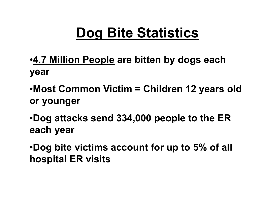## **Dog Bite Statistics**

- •**4.7 Million People are bitten by dogs each year**
- •**Most Common Victim = Children 12 years old or younger**
- •**Dog attacks send 334,000 people to the ER each year**
- •**Dog bite victims account for up to 5% of all hospital ER visits**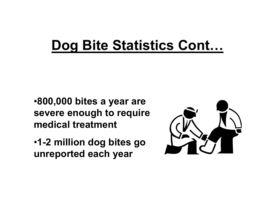#### **Dog Bite Statistics Cont…**

•**800,000 bites a year are severe enough to require medical treatment**

•**1-2 million dog bites go unreported each year**

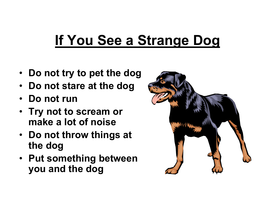#### **If You See a Strange Dog**

- $\bullet$ **Do not try to pet the dog**
- **Do not stare at the dog**
- **Do not run**
- **Try not to scream or make a lot of noise**
- **Do not throw things at the dog**
- **Put something between you and the dog**

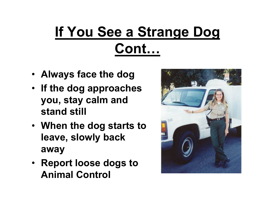# **If You See a Strange Dog Cont…**

- **Always face the dog**
- **If the dog approaches you, stay calm and stand still**
- **When the dog starts to leave, slowly back away**
- **Report loose dogs to Animal Control**

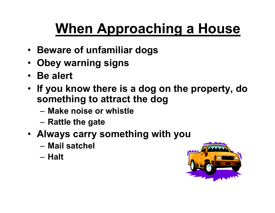# **When Approaching a House**

- **Beware of unfamiliar dogs**
- **Obey warning signs**
- **Be alert**
- **If you know there is a dog on the property, do something to attract the dog**
	- **Make noise or whistle**
	- **Rattle the gate**
- **Always carry something with you**
	- **Mail satchel**
	- **Halt**

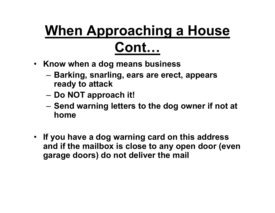# **When Approaching a House Cont…**

- **Know when a dog means business**
	- **Barking, snarling, ears are erect, appears ready to attack**
	- **Do NOT approach it!**
	- **Send warning letters to the dog owner if not at home**
- **If you have a dog warning card on this address and if the mailbox is close to any open door (even garage doors) do not deliver the mail**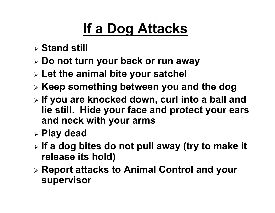## **If a Dog Attacks**

- **Stand still**
- **Do not turn your back or run away**
- **Let the animal bite your satchel**
- **Keep something between you and the dog**
- **If you are knocked down, curl into a ball and lie still. Hide your face and protect your ears and neck with your arms**
- **Play dead**
- **If a dog bites do not pull away (try to make it release its hold)**
- **Report attacks to Animal Control and your supervisor**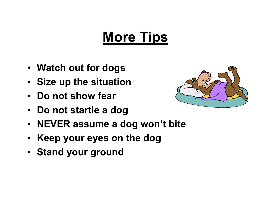### **More Tips**

- **Watch out for dogs**
- **Size up the situation**
- **Do not show fear**
- $\bullet$ **Do not startle a dog**
- **NEVER assume a dog won't bite**
- **Keep your eyes on the dog**
- **Stand your ground**

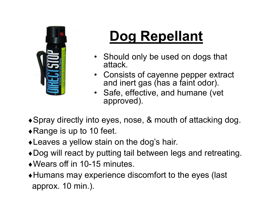

# **Dog Repellant**

- Should only be used on dogs that attack.
- Consists of cayenne pepper extract and inert gas (has a faint odor).
- Safe, effective, and humane (vet approved).
- Spray directly into eyes, nose, & mouth of attacking dog.
- $\triangle$ Range is up to 10 feet.
- Leaves a yellow stain on the dog's hair.
- Dog will react by putting tail between legs and retreating.
- Wears off in 10-15 minutes.
- Humans may experience discomfort to the eyes (last approx. 10 min.).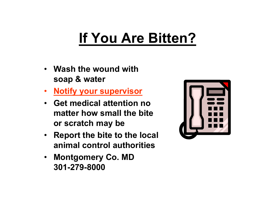## **If You Are Bitten?**

- **Wash the wound with soap & water**
- $\bullet$ **Notify your supervisor**
- **Get medical attention no matter how small the bite or scratch may be**
- **Report the bite to the local animal control authorities**
- **Montgomery Co. MD 301-279-8000**

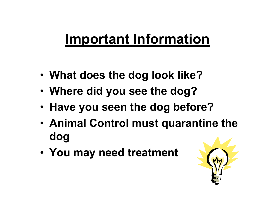#### **Important Information**

- •**What does the dog look like?**
- •**Where did you see the dog?**
- •**Have you seen the dog before?**
- • **Animal Control must quarantine the dog**
- **You may need treatment**